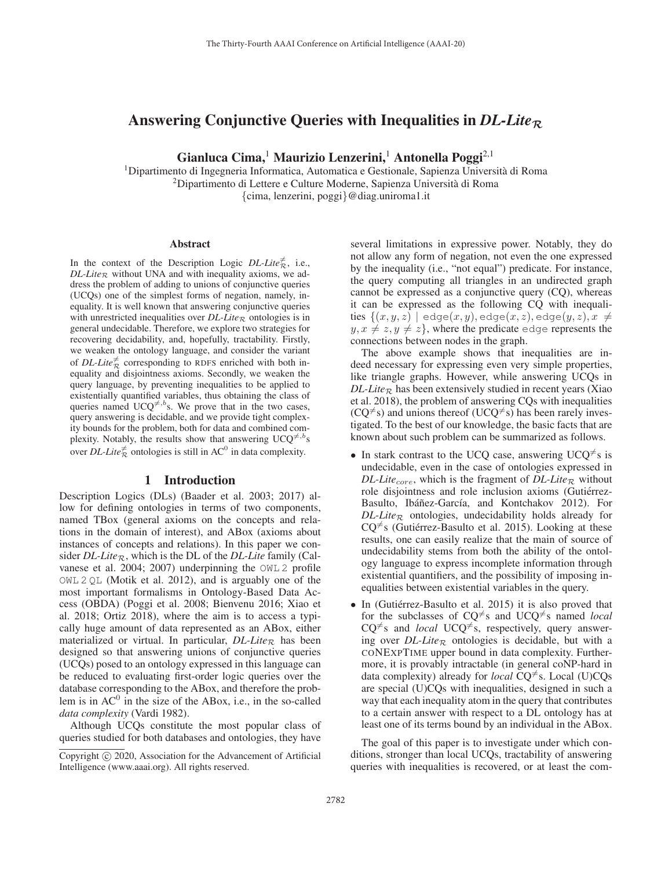# Answering Conjunctive Queries with Inequalities in *DL-Lite<sup>R</sup>*

Gianluca Cima,<sup>1</sup> Maurizio Lenzerini,<sup>1</sup> Antonella Poggi<sup>2,1</sup>

 $1$ Dipartimento di Ingegneria Informatica, Automatica e Gestionale, Sapienza Università di Roma 2Dipartimento di Lettere e Culture Moderne, Sapienza Universita di Roma ` {cima, lenzerini, poggi}@diag.uniroma1.it

#### Abstract

In the context of the Description Logic *DL-Lite* $\vec{\pi}$ , i.e.,  $DL\text{-}Lie_R$  without UNA and with inequality axioms, we address the problem of adding to unions of conjunctive queries (UCQs) one of the simplest forms of negation, namely, inequality. It is well known that answering conjunctive queries with unrestricted inequalities over  $DL\text{-}Lie_R$  ontologies is in general undecidable. Therefore, we explore two strategies for recovering decidability, and, hopefully, tractability. Firstly, we weaken the ontology language, and consider the variant of *DL-Lite* $\frac{1}{R}$  corresponding to RDFS enriched with both inequality and disjointness axioms. Secondly, we weaken the query language, by preventing inequalities to be applied to existentially quantified variables, thus obtaining the class of queries named UCQ<sup> $\neq$ ,b</sup>s. We prove that in the two cases, query answering is decidable, and we provide tight complexity bounds for the problem, both for data and combined complexity. Notably, the results show that answering  $UCQ^{\neq, b}$ s over *DL-Lite* $\neq$  ontologies is still in AC<sup>0</sup> in data complexity.

## 1 Introduction

Description Logics (DLs) (Baader et al. 2003; 2017) allow for defining ontologies in terms of two components, named TBox (general axioms on the concepts and relations in the domain of interest), and ABox (axioms about instances of concepts and relations). In this paper we consider *DL-Lite*<sub>R</sub>, which is the DL of the *DL-Lite* family (Calvanese et al. 2004; 2007) underpinning the OWL 2 profile OWL 2 QL (Motik et al. 2012), and is arguably one of the most important formalisms in Ontology-Based Data Access (OBDA) (Poggi et al. 2008; Bienvenu 2016; Xiao et al. 2018; Ortiz 2018), where the aim is to access a typically huge amount of data represented as an ABox, either materialized or virtual. In particular,  $DL\text{-}Lie_R$  has been designed so that answering unions of conjunctive queries (UCQs) posed to an ontology expressed in this language can be reduced to evaluating first-order logic queries over the database corresponding to the ABox, and therefore the problem is in  $AC^0$  in the size of the ABox, i.e., in the so-called *data complexity* (Vardi 1982).

Although UCQs constitute the most popular class of queries studied for both databases and ontologies, they have

several limitations in expressive power. Notably, they do not allow any form of negation, not even the one expressed by the inequality (i.e., "not equal") predicate. For instance, the query computing all triangles in an undirected graph cannot be expressed as a conjunctive query (CQ), whereas it can be expressed as the following CQ with inequali- ${\rm ties}\,\left\{(x,y,z)\,\left.\right|\,\,{\rm edge}(x,y),{\rm edge}(x,z),{\rm edge}(y,z),x\,\neq\,\right.$  $y, x \neq z, y \neq z$ , where the predicate edge represents the connections between nodes in the graph.

The above example shows that inequalities are indeed necessary for expressing even very simple properties, like triangle graphs. However, while answering UCQs in  $DL\text{-}Lie_{\mathcal{R}}$  has been extensively studied in recent years (Xiao et al. 2018), the problem of answering CQs with inequalities  $(CQ^{\neq}s)$  and unions thereof  $(UCQ^{\neq}s)$  has been rarely investigated. To the best of our knowledge, the basic facts that are known about such problem can be summarized as follows.

- In stark contrast to the UCQ case, answering UCQ<sup> $\neq$ </sup>s is undecidable, even in the case of ontologies expressed in *DL-Lite*<sub>core</sub>, which is the fragment of *DL-Lite*<sub>R</sub> without role disjointness and role inclusion axioms (Gutiérrez-Basulto, Ibáñez-García, and Kontchakov 2012). For  $DL\text{-}Lie_R$  ontologies, undecidability holds already for  $CQ^{\neq}$ s (Gutiérrez-Basulto et al. 2015). Looking at these results, one can easily realize that the main of source of undecidability stems from both the ability of the ontology language to express incomplete information through existential quantifiers, and the possibility of imposing inequalities between existential variables in the query.
- In (Gutiérrez-Basulto et al. 2015) it is also proved that for the subclasses of  $CQ^{\neq}$ s and  $UCQ^{\neq}$ s named *local*  $CQ^{\neq}$ s and *local* UCQ<sup> $\neq$ </sup>s, respectively, query answering over  $DL\text{-}Lie_R$  ontologies is decidable, but with a CONEXPTIME upper bound in data complexity. Furthermore, it is provably intractable (in general coNP-hard in data complexity) already for *local* CQ<sup> $\neq$ </sup>s. Local (U)CQs are special (U)CQs with inequalities, designed in such a way that each inequality atom in the query that contributes to a certain answer with respect to a DL ontology has at least one of its terms bound by an individual in the ABox.

The goal of this paper is to investigate under which conditions, stronger than local UCQs, tractability of answering queries with inequalities is recovered, or at least the com-

Copyright  $\odot$  2020, Association for the Advancement of Artificial Intelligence (www.aaai.org). All rights reserved.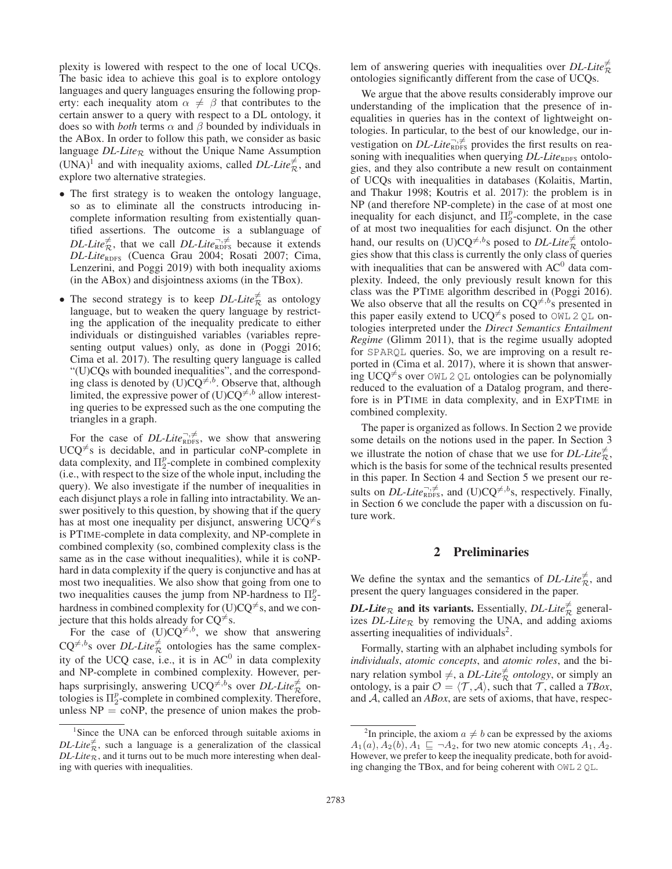plexity is lowered with respect to the one of local UCQs. The basic idea to achieve this goal is to explore ontology languages and query languages ensuring the following property: each inequality atom  $\alpha \neq \beta$  that contributes to the certain answer to a query with respect to a DL ontology, it does so with *both* terms  $\alpha$  and  $\beta$  bounded by individuals in the ABox. In order to follow this path, we consider as basic language  $DL\text{-}Lie_R$  without the Unique Name Assumption (UNA)<sup>1</sup> and with inequality axioms, called *DL-Lite*<sup> $\neq$ </sup>, and explore two alternative strategies.

- The first strategy is to weaken the ontology language, so as to eliminate all the constructs introducing incomplete information resulting from existentially quantified assertions. The outcome is a sublanguage of *DL-Lite*<sup> $\neq$ </sup>, that we call *DL-Lite*<sup> $\bar{\gamma}, \neq$ </sup> because it extends *DL-Lite*<sub>RDFS</sub> (Cuenca Grau 2004; Rosati 2007; Cima, Lenzerini, and Poggi 2019) with both inequality axioms (in the ABox) and disjointness axioms (in the TBox).
- The second strategy is to keep  $DL\text{-}Life^{\neq}_{\mathcal{R}}$  as ontology language, but to weaken the query language by restricting the application of the inequality predicate to either individuals or distinguished variables (variables representing output values) only, as done in (Poggi 2016; Cima et al. 2017). The resulting query language is called "(U)CQs with bounded inequalities", and the corresponding class is denoted by  $(U)\overline{C}Q^{\neq,b}$ . Observe that, although limited, the expressive power of  $(U)CQ^{\neq,b}$  allow interesting queries to be expressed such as the one computing the triangles in a graph.

For the case of *DL-Lite*<sup> $\bar{\tau}, \neq$ </sup>, we show that answering  $UCQ^{\neq}$ s is decidable, and in particular coNP-complete in data complexity, and  $\Pi_2^p$ -complete in combined complexity (i.e., with respect to the size of the whole input, including the query). We also investigate if the number of inequalities in each disjunct plays a role in falling into intractability. We answer positively to this question, by showing that if the query has at most one inequality per disjunct, answering UCQ<sup> $\neq$ </sup>s is PTIME-complete in data complexity, and NP-complete in combined complexity (so, combined complexity class is the same as in the case without inequalities), while it is coNPhard in data complexity if the query is conjunctive and has at most two inequalities. We also show that going from one to two inequalities causes the jump from NP-hardness to  $\Pi_2^p$ hardness in combined complexity for (U)CQ<sup> $\neq$ </sup>s, and we conjecture that this holds already for  $CQ^{\neq}$ s.

For the case of  $(U)CQ^{\neq, b}$ , we show that answering  $CQ^{\neq, b}$ s over *DL-Lite* $\frac{\neq}{R}$  ontologies has the same complexity of the UCQ case, i.e., it is in  $AC^0$  in data complexity and NP-complete in combined complexity. However, perhaps surprisingly, answering  $UCQ^{\neq, b}$ s over *DL-Lite* $\vec{\tau}$  ontologies is  $\Pi_2^p$ -complete in combined complexity. Therefore, unless  $NP = \text{coNP}$ , the presence of union makes the prob-

lem of answering queries with inequalities over *DL-Lite* $\frac{1}{R}$ R ontologies significantly different from the case of UCQs.

We argue that the above results considerably improve our understanding of the implication that the presence of inequalities in queries has in the context of lightweight ontologies. In particular, to the best of our knowledge, our investigation on *DL-Lite*<sup> $\neg, \neq$ </sup> provides the first results on reasoning with inequalities when querying *DL-Lite*<sub>RDFS</sub> ontologies, and they also contribute a new result on containment of UCQs with inequalities in databases (Kolaitis, Martin, and Thakur 1998; Koutris et al. 2017): the problem is in NP (and therefore NP-complete) in the case of at most one inequality for each disjunct, and  $\Pi_2^p$ -complete, in the case of at most two inequalities for each disjunct. On the other hand, our results on  $(U)CQ^{\neq, b}$ s posed to *DL-Lite*<sup> $\neq$ </sup> ontologies show that this class is currently the only class of queries with inequalities that can be answered with  $AC<sup>0</sup>$  data complexity. Indeed, the only previously result known for this class was the PTIME algorithm described in (Poggi 2016). We also observe that all the results on  $CQ^{\neq, b}$ s presented in this paper easily extend to UCQ<sup> $\neq$ </sup>s posed to OWL 2 QL ontologies interpreted under the *Direct Semantics Entailment Regime* (Glimm 2011), that is the regime usually adopted for SPARQL queries. So, we are improving on a result reported in (Cima et al. 2017), where it is shown that answering UCQ<sup> $\neq$ </sup>s over OWL 2 QL ontologies can be polynomially reduced to the evaluation of a Datalog program, and therefore is in PTIME in data complexity, and in EXPTIME in combined complexity.

The paper is organized as follows. In Section 2 we provide some details on the notions used in the paper. In Section 3 we illustrate the notion of chase that we use for *DL-Lite*<sup> $\neq$ </sup>, which is the basis for some of the technical results presented in this paper. In Section 4 and Section 5 we present our results on *DL-Lite*<sup> $\bar{\mathcal{L}}$ ,  $\neq$ , and (U)CQ<sup> $\neq$ , b<sub>s</sub>, respectively. Finally,</sup></sup> in Section 6 we conclude the paper with a discussion on future work.

### 2 Preliminaries

We define the syntax and the semantics of *DL-Lite*<sup> $\neq$ </sup>, and present the query languages considered in the paper.

*DL-Lite*<sub>R</sub> and its variants. Essentially, *DL-Lite*<sup> $\neq$ </sup> generalizes  $DL\text{-}Lie_R$  by removing the UNA, and adding axioms asserting inequalities of individuals<sup>2</sup>.

Formally, starting with an alphabet including symbols for *individuals*, *atomic concepts*, and *atomic roles*, and the binary relation symbol  $\neq$ , a *DL-Lite* $\frac{2}{\pi}$  *ontology*, or simply an ontology, is a pair  $\mathcal{O} = \langle \mathcal{T}, \mathcal{A} \rangle$ , such that  $\mathcal{T}$ , called a *TBox*, and A, called an *ABox*, are sets of axioms, that have, respec-

<sup>&</sup>lt;sup>1</sup>Since the UNA can be enforced through suitable axioms in  $DL\text{-}Life^{\neq}_{\mathcal{R}}$ , such a language is a generalization of the classical  $DL\text{-}Lie\mathcal{R}$ , and it turns out to be much more interesting when dealing with queries with inequalities.

<sup>&</sup>lt;sup>2</sup>In principle, the axiom  $a \neq b$  can be expressed by the axioms  $A_1(a), A_2(b), A_1 \sqsubseteq \neg A_2$ , for two new atomic concepts  $A_1, A_2$ . However, we prefer to keep the inequality predicate, both for avoiding changing the TBox, and for being coherent with OWL 2 QL.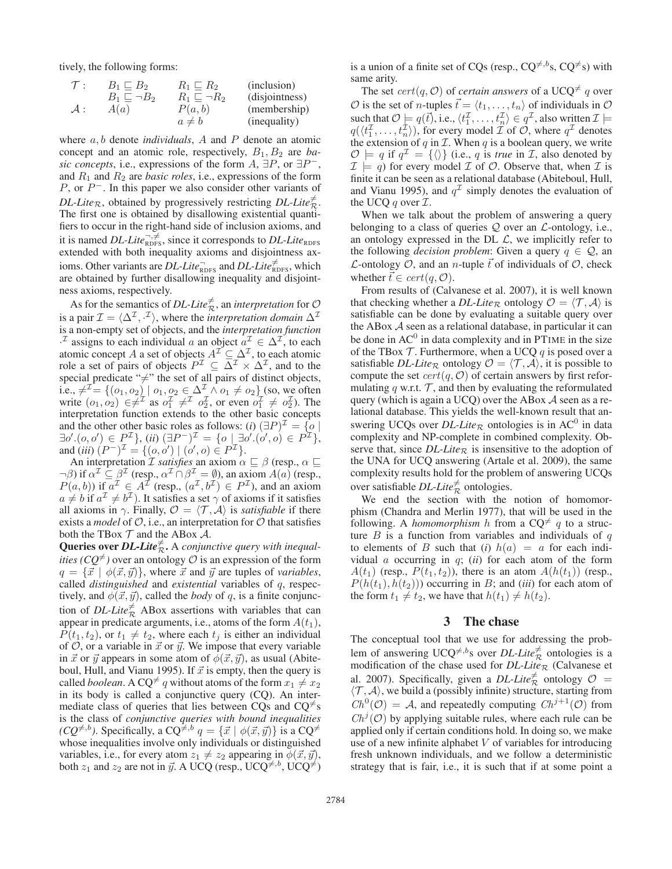tively, the following forms:

$$
\begin{array}{ll}\n\mathcal{T}: & B_1 \sqsubseteq B_2 & R_1 \sqsubseteq R_2 & \text{(inclusion)} \\
B_1 \sqsubseteq \neg B_2 & R_1 \sqsubseteq \neg R_2 & \text{(disjointness)} \\
\mathcal{A}: & A(a) & P(a, b) & \text{(membership)} \\
a \neq b & \text{(inequality)}\n\end{array}
$$

where a, b denote *individuals*, A and P denote an atomic concept and an atomic role, respectively,  $B_1, B_2$  are *basic concepts*, i.e., expressions of the form  $A$ ,  $\exists P$ , or  $\exists P^-$ , and  $R_1$  and  $R_2$  are *basic roles*, i.e., expressions of the form  $P$ , or  $P^-$ . In this paper we also consider other variants of *DL-Lite*<sub>R</sub>, obtained by progressively restricting *DL-Lite*<sup> $\neq$ </sup> The first one is obtained by disallowing existential quantifiers to occur in the right-hand side of inclusion axioms, and it is named *DL-Lite*<sup> $\neg, \neq$ </sup> since it corresponds to *DL-Lite*<sub>RDFS</sub> extended with both inequality axioms and disjointness axioms. Other variants are *DL-Lite*<sup> $\Gamma$ </sup><sub>RDFS</sub> and *DL-Lite*<sup> $\neq$ </sup><sub>RDFS</sub>, which are obtained by further disallowing inequality and disjointness axioms, respectively.

As for the semantics of *DL-Lite*<sup> $\neq$ </sup>, an *interpretation* for  $\mathcal{O}$ is a pair  $\mathcal{I} = \langle \Delta^{\mathcal{I}}, \cdot^{\mathcal{I}} \rangle$ , where the *interpretation domain*  $\Delta^{\mathcal{I}}$ is a non-empty set of objects, and the *interpretation function* <sup>1</sup> assigns to each individual a an object  $a^{\perp} \in \Delta^{\perp}$ , to each atomic concept A a set of objects  $A^{\mathcal{I}} \subseteq \Delta^{\mathcal{I}}$ , to each atomic role a set of pairs of objects  $P^{\perp} \subseteq \Delta^{\perp} \times \Delta^{\perp}$ , and to the special predicate " $\neq$ " the set of all pairs of distinct objects, i.e.,  $\neq^{\mathcal{I}} = \{ (o_1, o_2) \mid o_1, o_2 \in \Delta^{\mathcal{I}} \wedge o_1 \neq o_2 \}$  (so, we often write  $(o_1, o_2) \in \neq^{\mathcal{I}}$  as  $o_1^{\mathcal{I}} \neq^{\mathcal{I}} o_2^{\mathcal{I}}$ , or even  $o_1^{\mathcal{I}} \neq o_2^{\mathcal{I}}$ ). The interpretation function extends to the other basic concepts and the other other basic roles as follows: (*i*)  $(\exists P)^{\mathcal{I}} = \{o \mid$  $\exists o'.(o, o') \in P^{\mathcal{I}}\}, (ii) (\exists P^{-})^{\mathcal{I}} = \{o \mid \exists o'.(o', o) \in P^{\mathcal{I}}\},$ and (*iii*)  $(P^-)^{\mathcal{I}} = \{(o, o') \mid (o', o) \in P^{\mathcal{I}}\}.$ 

An interpretation *I satisfies* an axiom  $\alpha \sqsubseteq \beta$  (resp.,  $\alpha \sqsubseteq$  $\neg \beta$ ) if  $\alpha^{\mathcal{I}} \subseteq \beta^{\mathcal{I}}$  (resp.,  $\alpha^{\mathcal{I}} \cap \beta^{\mathcal{I}} = \emptyset$ ), an axiom  $A(a)$  (resp.,  $P(a, b)$ ) if  $a^{\mathcal{I}} \in A^{\mathcal{I}}$  (resp.,  $(a^{\mathcal{I}}, b^{\mathcal{I}}) \in P^{\mathcal{I}}$ ), and an axiom  $a \neq b$  if  $a^{\mathcal{I}} \neq b^{\mathcal{I}}$ ). It satisfies a set  $\gamma$  of axioms if it satisfies all axioms in  $\gamma$ . Finally,  $\mathcal{O} = \langle \mathcal{T}, \mathcal{A} \rangle$  is *satisfiable* if there exists a *model* of  $O$ , i.e., an interpretation for  $O$  that satisfies both the TBox  $\mathcal T$  and the ABox  $\mathcal A$ .

**Queries over** *DL-Lite* $\frac{1}{R}$ . A *conjunctive query with inequalities (CQ*<sup> $\neq$ </sup>) over an ontology  $\mathcal O$  is an expression of the form  $q = {\vec{x} \mid \phi(\vec{x}, \vec{y})}$ , where  $\vec{x}$  and  $\vec{y}$  are tuples of *variables*, called *distinguished* and *existential* variables of q, respectively, and  $\phi(\vec{x}, \vec{y})$ , called the *body* of q, is a finite conjunction of *DL-Lite*<sup> $\neq$ </sup> ABox assertions with variables that can appear in predicate arguments, i.e., atoms of the form  $A(t_1)$ ,  $P(t_1, t_2)$ , or  $t_1 \neq t_2$ , where each  $t_j$  is either an individual of  $\hat{O}$ , or a variable in  $\vec{x}$  or  $\vec{y}$ . We impose that every variable in  $\vec{x}$  or  $\vec{y}$  appears in some atom of  $\phi(\vec{x}, \vec{y})$ , as usual (Abiteboul, Hull, and Vianu 1995). If  $\vec{x}$  is empty, then the query is called *boolean*. A CQ<sup> $\neq$ </sup> q without atoms of the form  $x_1 \neq x_2$ in its body is called a conjunctive query (CQ). An intermediate class of queries that lies between CQs and  $CQ^{\neq}$ s is the class of *conjunctive queries with bound inequalities (CQ<sup>* $\neq$ *,b*). Specifically, a CQ<sup> $\neq$ ,*b*</sup>  $q = {\{\vec{x} \mid \phi(\vec{x}, \vec{y})\}}$  is a CQ<sup> $\neq$ </sup></sup> whose inequalities involve only individuals or distinguished variables, i.e., for every atom  $z_1 \neq z_2$  appearing in  $\phi(\vec{x}, \vec{y})$ , both  $z_1$  and  $z_2$  are not in  $\vec{y}$ . A UCQ (resp., UCQ<sup> $\neq$ ,b, UCQ<sup> $\neq$ </sup>)</sup>

is a union of a finite set of CQs (resp.,  $CQ^{\neq, b}$ s,  $CQ^{\neq}$ s) with same arity.

The set  $cert(q, O)$  of *certain answers* of a UCQ<sup> $\neq$ </sup> q over  $O$  is the set of *n*-tuples  $\vec{t} = \langle t_1, \ldots, t_n \rangle$  of individuals in  $O$ such that  $\mathcal{O} \models q(\vec{t})$ , i.e.,  $\langle t_1^{\mathcal{I}}, \ldots, t_n^{\mathcal{I}} \rangle \in q^{\mathcal{I}}$ , also written  $\mathcal{I} \models$  $q(\langle t_1^{\mathcal{I}}, \ldots, t_n^{\mathcal{I}} \rangle)$ , for every model  $\mathcal{I}$  of  $\mathcal{O}$ , where  $q^{\mathcal{I}}$  denotes the extension of  $q$  in  $\mathcal I$ . When  $q$  is a boolean query, we write  $\mathcal{O} \models q$  if  $q^{\mathcal{I}} = \{\langle\rangle\}$  (i.e., q is *true* in  $\mathcal{I}$ , also denoted by  $\mathcal{I} \models q$ ) for every model  $\mathcal{I}$  of  $\mathcal{O}$ . Observe that, when  $\mathcal{I}$  is finite it can be seen as a relational database (Abiteboul, Hull, and Vianu 1995), and  $q<sup>\mathcal{I}</sup>$  simply denotes the evaluation of the UCQ q over  $\mathcal{I}$ .

When we talk about the problem of answering a query belonging to a class of queries  $Q$  over an  $\mathcal{L}$ -ontology, i.e., an ontology expressed in the DL  $\mathcal{L}$ , we implicitly refer to the following *decision problem*: Given a query  $q \in \mathcal{Q}$ , an L-ontology  $\mathcal{O}$ , and an *n*-tuple  $\vec{t}$  of individuals of  $\mathcal{O}$ , check whether  $\vec{t} \in cert(q, \mathcal{O}).$ 

From results of (Calvanese et al. 2007), it is well known that checking whether a *DL-Lite*<sub>R</sub> ontology  $\mathcal{O} = \langle \mathcal{T}, \mathcal{A} \rangle$  is satisfiable can be done by evaluating a suitable query over the ABox A seen as a relational database, in particular it can be done in  $AC^0$  in data complexity and in PTIME in the size of the TBox  $\mathcal T$ . Furthermore, when a UCQ  $q$  is posed over a satisfiable *DL-Lite*<sub>R</sub> ontology  $\mathcal{O} = \langle \mathcal{T}, \mathcal{A} \rangle$ , it is possible to compute the set  $cert(q, O)$  of certain answers by first reformulating q w.r.t.  $\mathcal{T}$ , and then by evaluating the reformulated query (which is again a UCQ) over the ABox  $A$  seen as a relational database. This yields the well-known result that answering UCQs over  $DL\text{-}Life_{\mathcal{R}}$  ontologies is in AC<sup>0</sup> in data complexity and NP-complete in combined complexity. Observe that, since  $DL\text{-}Lie_R$  is insensitive to the adoption of the UNA for UCQ answering (Artale et al. 2009), the same complexity results hold for the problem of answering UCQs over satisfiable *DL-Lite* $\frac{1}{R}$  ontologies.

We end the section with the notion of homomorphism (Chandra and Merlin 1977), that will be used in the following. A *homomorphism* h from a  $CQ^{\neq} q$  to a structure  $B$  is a function from variables and individuals of  $q$ to elements of B such that (*i*)  $h(a) = a$  for each individual a occurring in q; (*ii*) for each atom of the form  $A(t_1)$  (resp.,  $P(t_1, t_2)$ ), there is an atom  $A(h(t_1))$  (resp.,  $P(h(t_1), h(t_2))$  occurring in B; and *(iii)* for each atom of the form  $t_1 \neq t_2$ , we have that  $h(t_1) \neq h(t_2)$ .

### 3 The chase

The conceptual tool that we use for addressing the problem of answering  $UCQ^{\neq, b}$ s over *DL-Lite* $\neq$  ontologies is a modification of the chase used for  $DL\text{-}Lie_R$  (Calvanese et al. 2007). Specifically, given a *DL-Lite*<sup> $\neq$ </sup> ontology  $\mathcal{O} =$  $\langle \mathcal{T}, \mathcal{A} \rangle$ , we build a (possibly infinite) structure, starting from  $Ch^0(\mathcal{O}) = \mathcal{A}$ , and repeatedly computing  $Ch^{j+1}(\mathcal{O})$  from  $Ch^{j}(\mathcal{O})$  by applying suitable rules, where each rule can be applied only if certain conditions hold. In doing so, we make use of a new infinite alphabet  $V$  of variables for introducing fresh unknown individuals, and we follow a deterministic strategy that is fair, i.e., it is such that if at some point a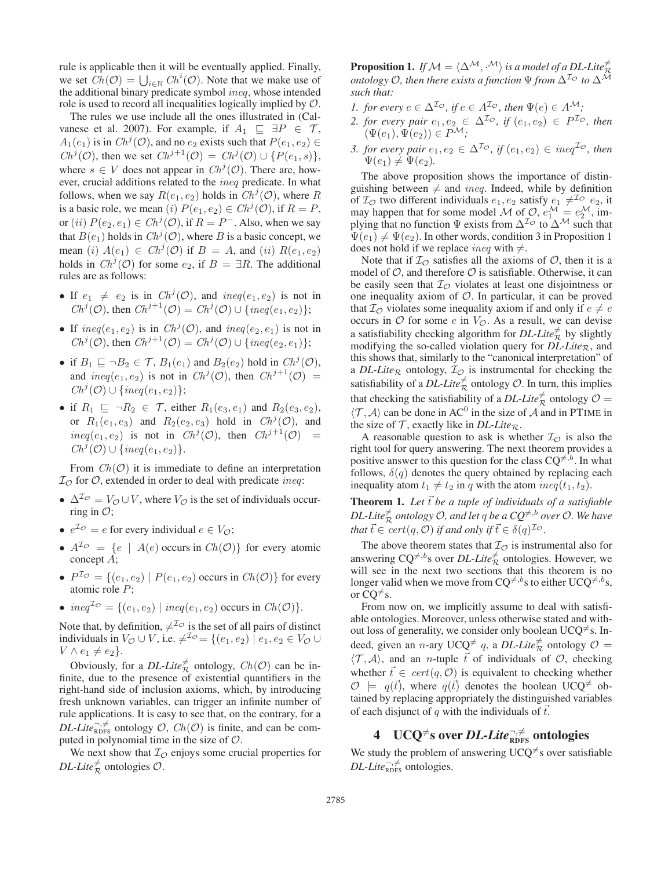rule is applicable then it will be eventually applied. Finally, we set  $Ch(\mathcal{O}) = \bigcup_{i \in \mathbb{N}} Ch^i(\mathcal{O})$ . Note that we make use of the additional binary predicate symbol ineq, whose intended role is used to record all inequalities logically implied by O.

The rules we use include all the ones illustrated in (Calvanese et al. 2007). For example, if  $A_1 \subseteq \exists P \in \mathcal{T}$ ,  $A_1(e_1)$  is in  $Ch^j(\mathcal{O})$ , and no  $e_2$  exists such that  $P(e_1, e_2) \in$  $Ch^j(\mathcal{O})$ , then we set  $Ch^{j+1}(\mathcal{O}) = Ch^j(\mathcal{O}) \cup \{P(e_1, s)\},$ where  $s \in V$  does not appear in  $Ch^{j}(\mathcal{O})$ . There are, however, crucial additions related to the ineq predicate. In what follows, when we say  $R(e_1, e_2)$  holds in  $Ch^j(\mathcal{O})$ , where R is a basic role, we mean (i)  $P(e_1, e_2) \in Ch^{j}(\mathcal{O})$ , if  $R = P$ , or  $(ii)$   $P(e_2, e_1) \in Ch^j(\mathcal{O})$ , if  $R = P^-$ . Also, when we say that  $B(e_1)$  holds in  $Ch^j(\mathcal{O})$ , where B is a basic concept, we mean (i)  $A(e_1) \in Ch^j(\mathcal{O})$  if  $B = A$ , and (ii)  $R(e_1, e_2)$ holds in  $Ch^j(\mathcal{O})$  for some  $e_2$ , if  $B = \exists R$ . The additional rules are as follows:

- If  $e_1 \neq e_2$  is in  $Ch^j(\mathcal{O})$ , and  $ineq(e_1, e_2)$  is not in  $Ch^j(\mathcal{O})$ , then  $Ch^{j+1}(\mathcal{O}) = Ch^j(\mathcal{O}) \cup \{ineq(e_1, e_2)\};$
- If  $ineq(e_1, e_2)$  is in  $Ch^j(\mathcal{O})$ , and  $ineq(e_2, e_1)$  is not in  $Ch^j(\mathcal{O})$ , then  $Ch^{j+1}(\mathcal{O}) = Ch^j(\mathcal{O}) \cup \{ineq(e_2, e_1)\};$
- if  $B_1 \sqsubseteq \neg B_2 \in \mathcal{T}$ ,  $B_1(e_1)$  and  $B_2(e_2)$  hold in  $Ch^j(\mathcal{O})$ , and  $ineq(e_1, e_2)$  is not in  $Ch^j(\mathcal{O})$ , then  $Ch^{j+1}(\mathcal{O})$  =  $Ch^j(\mathcal{O}) \cup \{ineq(e_1, e_2)\};$
- if  $R_1 \sqsubseteq \neg R_2 \in \mathcal{T}$ , either  $R_1(e_3, e_1)$  and  $R_2(e_3, e_2)$ , or  $R_1(e_1, e_3)$  and  $R_2(e_2, e_3)$  hold in  $Ch^j(\mathcal{O})$ , and  $ineq(e_1, e_2)$  is not in  $Ch^j(\mathcal{O})$ , then  $Ch^{j+1}(\mathcal{O})$  =  $Ch^j(\mathcal{O}) \cup \{ineq(e_1, e_2)\}.$

From  $Ch(\mathcal{O})$  it is immediate to define an interpretation  $\mathcal{I}_{\mathcal{O}}$  for  $\mathcal{O}$ , extended in order to deal with predicate *ineq*:

- $\Delta^{I\circ} = V_{\circ} \cup V$ , where  $V_{\circ}$  is the set of individuals occurring in  $\mathcal{O}$ ;
- $e^{\mathcal{I}\phi} = e$  for every individual  $e \in V_{\mathcal{O}}$ ;
- $A^{\mathcal{I}\circ} = \{e \mid A(e)$  occurs in  $Ch(\mathcal{O})\}$  for every atomic concept A;
- $P^{\mathcal{I}_{\mathcal{O}}} = \{(e_1, e_2) \mid P(e_1, e_2) \text{ occurs in } Ch(\mathcal{O})\}$  for every atomic role P;
- $ineq^{\mathcal{I}\phi} = \{(e_1, e_2) | ineq(e_1, e_2)$  occurs in  $Ch(\mathcal{O})\}.$

Note that, by definition,  $\neq^{\mathcal{I}_{\mathcal{O}}}$  is the set of all pairs of distinct individuals in  $V_{\mathcal{O}} \cup V$ , i.e.  $\neq^{\mathcal{I}_{\mathcal{O}}} = \{(e_1, e_2) \mid e_1, e_2 \in V_{\mathcal{O}} \cup V\}$  $V \wedge e_1 \neq e_2$ .

Obviously, for a *DL-Lite*<sup> $\neq$ </sup> ontology,  $Ch(\mathcal{O})$  can be infinite, due to the presence of existential quantifiers in the right-hand side of inclusion axioms, which, by introducing fresh unknown variables, can trigger an infinite number of rule applications. It is easy to see that, on the contrary, for a *DL-Lite*<sup> $\neg, \neq$ </sup> ontology  $\mathcal{O}$ ,  $Ch(\mathcal{O})$  is finite, and can be computed in polynomial time in the size of O.

We next show that  $I_{\mathcal{O}}$  enjoys some crucial properties for  $DL\text{-}Lie^{\neq}_{\mathcal{R}}$  ontologies  $\mathcal{O}$ .

**Proposition 1.** If  $\mathcal{M} = \langle \Delta^{\mathcal{M}}, \cdot^{\mathcal{M}} \rangle$  is a model of a DL-Lite  $\stackrel{\neq}{\mathcal{R}}$  $\overline{C}$  ontology *O*, then there exists a function  $\Psi$  from  $\Delta^{I_O}$  to  $\Delta^{\overline{M}}$ *such that:*

- *1. for every*  $e \in \Delta^{\mathcal{I}_{\mathcal{O}}}$ , if  $e \in A^{\mathcal{I}_{\mathcal{O}}}$ , then  $\Psi(e) \in A^{\mathcal{M}}$ ;
- 2. for every pair  $e_1, e_2 \in \Delta^{\mathcal{I}_{\mathcal{O}}}$ , if  $(e_1, e_2) \in P^{\mathcal{I}_{\mathcal{O}}}$ , then  $(\Psi(e_1), \Psi(e_2)) \in P^{\mathcal{M}};$
- *3. for every pair*  $e_1, e_2 \in \Delta^{\mathcal{I}_{\mathcal{O}}}$ , if  $(e_1, e_2) \in \text{ineq}^{\mathcal{I}_{\mathcal{O}}}$ , then  $\Psi(e_1) \neq \Psi(e_2)$ .

The above proposition shows the importance of distinguishing between  $\neq$  and *ineq*. Indeed, while by definition of  $\mathcal{I}_{\mathcal{O}}$  two different individuals  $e_1, e_2$  satisfy  $e_1 \neq^{ \mathcal{I}_{\mathcal{O}} } e_2$ , it may happen that for some model M of  $\mathcal{O}, e_1^{\mathcal{M}} = e_2^{\mathcal{M}},$  implying that no function  $\Psi$  exists from  $\Delta^{\mathcal{I}_{\mathcal{O}}}$  to  $\Delta^{\mathcal{M}}$  such that  $\Psi(e_1) \neq \Psi(e_2)$ . In other words, condition 3 in Proposition 1 does not hold if we replace *ineq* with  $\neq$ .

Note that if  $I_{\mathcal{O}}$  satisfies all the axioms of  $\mathcal{O}$ , then it is a model of  $O$ , and therefore  $O$  is satisfiable. Otherwise, it can be easily seen that  $I_{\mathcal{O}}$  violates at least one disjointness or one inequality axiom of  $O$ . In particular, it can be proved that  $\mathcal{I}_{\mathcal{O}}$  violates some inequality axiom if and only if  $e \neq e$ occurs in  $\mathcal O$  for some e in  $V_{\mathcal O}$ . As a result, we can devise a satisfiability checking algorithm for *DL-Lite*<sup> $\neq$ </sup> by slightly modifying the so-called violation query for  $DL\text{-}Like_{\mathcal{R}}$ , and this shows that, similarly to the "canonical interpretation" of a *DL-Lite*<sub>R</sub> ontology,  $I_{\mathcal{O}}$  is instrumental for checking the satisfiability of a  $DL\text{-}Lie^{\neq}_{\mathcal{R}}$  ontology  $\mathcal{O}$ . In turn, this implies that checking the satisfiability of a *DL-Lite*<sup> $\neq$ </sup> ontology  $\mathcal{O} =$  $\langle \mathcal{T}, \mathcal{A} \rangle$  can be done in AC<sup>0</sup> in the size of A and in PTIME in the size of  $\mathcal T$ , exactly like in *DL-Lite*<sub>R</sub>.

A reasonable question to ask is whether  $\mathcal{I}_{\mathcal{O}}$  is also the right tool for query answering. The next theorem provides a positive answer to this question for the class  $CQ^{\neq, b}$ . In what follows,  $\delta(q)$  denotes the query obtained by replacing each inequality atom  $t_1 \neq t_2$  in q with the atom  $ineq(t_1, t_2)$ .

**Theorem 1.** Let  $\vec{t}$  be a tuple of individuals of a satisfiable  $DL\text{-}Life^{\neq}_{\mathcal{R}}$  *ontology*  $\mathcal{O}$ *, and let q be a CQ*<sup> $\neq$ *,b over*  $\mathcal{O}$ *. We have*</sup> *that*  $\vec{t} \in cert(q, \mathcal{O})$  *if and only if*  $\vec{t} \in \delta(q)^{\mathcal{I}_{\mathcal{O}}}$ .

The above theorem states that  $\mathcal{I}_{\mathcal{O}}$  is instrumental also for answering  $CQ^{\neq, b}$ s over *DL-Lite* $\neq$  ontologies. However, we will see in the next two sections that this theorem is no longer valid when we move from CQ<sup>≠,b</sup>s to either UCQ<sup>≠,b</sup>s, or  $\overline{CQ} \neq s$ .

From now on, we implicitly assume to deal with satisfiable ontologies. Moreover, unless otherwise stated and without loss of generality, we consider only boolean UCQ<sup> $\neq$ </sup>s. Indeed, given an *n*-ary UCQ<sup> $\neq q$ , a *DL-Lite* $\frac{1}{R}$  ontology  $\mathcal{O} =$ </sup>  $\langle \mathcal{T}, \mathcal{A} \rangle$ , and an *n*-tuple  $\vec{t}$  of individuals of  $\mathcal{O}$ , checking whether  $\vec{t} \in cert(q, \mathcal{O})$  is equivalent to checking whether  $\mathcal{O}$   $\models$   $q(\vec{t})$ , where  $q(\vec{t})$  denotes the boolean UCQ<sup> $\neq$ </sup> obtained by replacing appropriately the distinguished variables of each disjunct of q with the individuals of  $\vec{t}$ .

# 4 UCQ<sup>≠</sup>s over *DL-Lite*™<sub>RDFS</sub> ontologies

We study the problem of answering UCQ<sup> $\neq$ </sup>s over satisfiable  $DL\text{-}Lie_{\text{RDFS}}^{-,\neq}$  ontologies.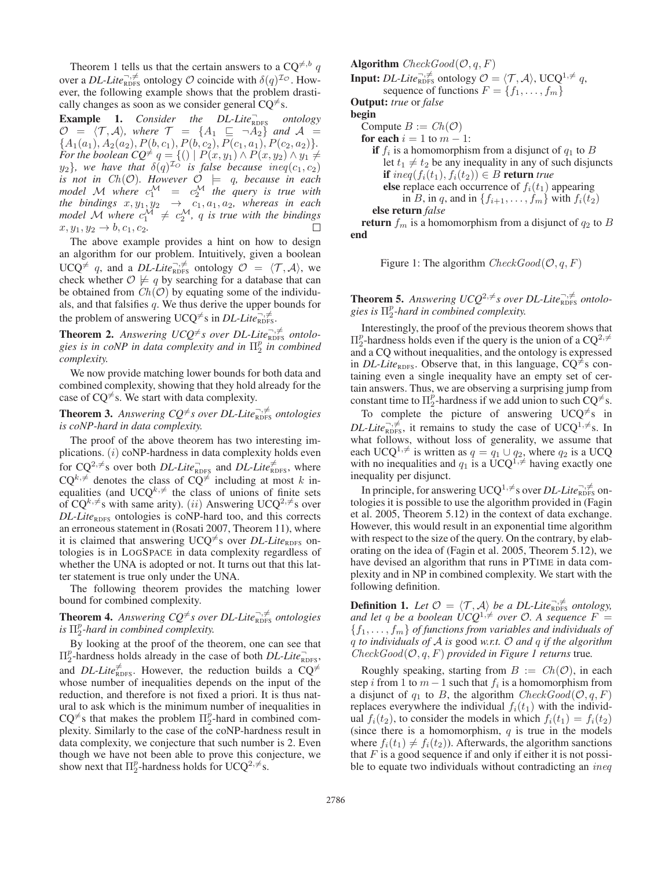Theorem 1 tells us that the certain answers to a  $CQ^{\neq, b}$  q over a *DL-Lite*<sup> $\vec{\tau}$ </sup>,  $\neq$  ontology  $\cal{O}$  coincide with  $\delta(q)^{\mathcal{I} \mathcal{O}}$ . However, the following example shows that the problem drastically changes as soon as we consider general  $CQ^{\neq}$ s.

**Example 1.** *Consider the DL-Lite*<sub>RDFS</sub> *ontology*  $\mathcal{O}$  =  $\langle \mathcal{T}, \mathcal{A} \rangle$ , where  $\mathcal{T}$  =  $\{A_1 \sqsubseteq \neg A_2\}$  and  $\mathcal{A}$  =  ${A_1(a_1), A_2(a_2), P(b, c_1), P(b, c_2), P(c_1, a_1), P(c_2, a_2)}.$ For the boolean  $CQ^{\neq}$   $q = \{(y \mid P(x,y_1) \wedge P(x,y_2) \wedge y_1 \neq 0\}$  $y_2$ *}, we have that*  $\delta(q)^{\mathcal{I}_O}$  *is false because ineq*( $c_1, c_2$ ) is not in  $Ch(\mathcal{O})$ . However  $\mathcal{O} \models q$ , because in each model M where  $c_1^{\mathcal{M}} = c_2^{\mathcal{M}}$  the query is true with *the bindings*  $x, y_1, y_2 \rightarrow c_1, a_1, a_2$ , whereas in each *model* M where  $c_1^{\mathcal{M}} \neq c_2^{\mathcal{M}}$ , q is true with the bindings  $x, y_1, y_2 \to b, c_1, c_2.$ 

The above example provides a hint on how to design an algorithm for our problem. Intuitively, given a boolean UCQ<sup> $\neq q$ </sup>, and a *DL-Lite*<sub>RDFS</sub> ontology  $\mathcal{O} = \langle \mathcal{T}, \mathcal{A} \rangle$ , we check whether  $\mathcal{O} \not\models q$  by searching for a database that can be obtained from  $Ch(O)$  by equating some of the individuals, and that falsifies  $q$ . We thus derive the upper bounds for the problem of answering UCQ<sup> $\neq$ </sup>s in *DL-Lite*<sub>RDFS</sub>.

**Theorem 2.** Answering  $UCQ^{\neq}s$  over DL-Lite<sub>RDFS</sub> ontologies is in coNP in data complexity and in  $\Pi_2^p$  in combined *complexity.*

We now provide matching lower bounds for both data and combined complexity, showing that they hold already for the case of  $CQ^{\neq}$ s. We start with data complexity.

**Theorem 3.** Answering  $CQ^{\neq}s$  over DL-Lite<sub>RDFS</sub> ontologies *is coNP-hard in data complexity.*

The proof of the above theorem has two interesting implications.  $(i)$  coNP-hardness in data complexity holds even for  $CQ^{2, \neq}$ s over both *DL-Lite*<sup> $\Gamma$ </sup><sub>RDFS</sub> and *DL-Lite*<sup> $\neq$ </sup><sub>RDFS</sub>, where  $CQ^{k, \neq}$  denotes the class of  $CQ^{\neq}$  including at most k inequalities (and UCQ $^{k, \neq}$  the class of unions of finite sets of CQ<sup>k, $\neq$ </sup>s with same arity). (*ii*) Answering UCQ<sup>2, $\neq$ </sup>s over *DL-Lite*<sub>RDFS</sub> ontologies is coNP-hard too, and this corrects an erroneous statement in (Rosati 2007, Theorem 11), where it is claimed that answering UCQ<sup> $\neq$ </sup>s over *DL-Lite*<sub>RDFS</sub> ontologies is in LOGSPACE in data complexity regardless of whether the UNA is adopted or not. It turns out that this latter statement is true only under the UNA.

The following theorem provides the matching lower bound for combined complexity.

**Theorem 4.** Answering  $CQ^{\neq}s$  over DL-Lite<sub>RDFS</sub> ontologies *is*  $\Pi_2^p$ -hard in combined complexity.

By looking at the proof of the theorem, one can see that  $\Pi_2^p$ -hardness holds already in the case of both *DL-Lite*<sub>RDFS</sub>, and *DL-Lite* $\bar{\epsilon}_{\text{RDFS}}^{\neq}$ . However, the reduction builds a CQ<sup> $\neq$ </sup> whose number of inequalities depends on the input of the reduction, and therefore is not fixed a priori. It is thus natural to ask which is the minimum number of inequalities in  $CQ^{\neq}$ s that makes the problem  $\Pi_2^p$ -hard in combined complexity. Similarly to the case of the coNP-hardness result in data complexity, we conjecture that such number is 2. Even though we have not been able to prove this conjecture, we show next that  $\Pi_2^p$ -hardness holds for UCQ<sup>2, $\neq$ </sup>s.

**Algorithm**  $CheckGood(\mathcal{O}, q, F)$ **Input:** *DL-Lite*<sup> $\exists$ </sup>, $\neq$   $\neq$  ontology  $\mathcal{O} = \langle \mathcal{T}, \mathcal{A} \rangle$ , UCQ<sup>1, $\neq$ </sup> q, sequence of functions  $F = \{f_1, \ldots, f_m\}$ Output: *true* or *false* begin Compute  $B := Ch(\mathcal{O})$ for each  $i = 1$  to  $m - 1$ : if  $f_i$  is a homomorphism from a disjunct of  $q_1$  to  $B$ let  $t_1 \neq t_2$  be any inequality in any of such disjuncts if  $ineq(f_i(t_1), f_i(t_2)) \in B$  return *true* else replace each occurrence of  $f_i(t_1)$  appearing in B, in q, and in  $\{f_{i+1},\ldots,f_m\}$  with  $f_i(t_2)$ else return *false* return  $f_m$  is a homomorphism from a disjunct of  $q_2$  to B

end

```
Figure 1: The algorithm CheckGood(O, q, F)
```
**Theorem 5.** Answering  $UCQ^{2, \neq}$ s over DL-Lite<sub>RDFS</sub> ontologies is  $\Pi_2^p$ -hard in combined complexity.

Interestingly, the proof of the previous theorem shows that  $\Pi_2^p$ -hardness holds even if the query is the union of a CQ<sup>2, $\neq$ </sup> and a CQ without inequalities, and the ontology is expressed in *DL-Lite*<sub>RDFS</sub>. Observe that, in this language,  $CQ^{\neq}$ s containing even a single inequality have an empty set of certain answers. Thus, we are observing a surprising jump from constant time to  $\Pi_2^p$ -hardness if we add union to such  $CQ^{\neq}$ s.

To complete the picture of answering  $UCQ^{\neq}$ s in *DL-Lite*<sup> $\neg$ </sup>, $\neq$ , it remains to study the case of UCQ<sup>1</sup>, $\neq$ s. In what follows, without loss of generality, we assume that each UCQ<sup>1,≠</sup> is written as  $q = q_1 \cup q_2$ , where  $q_2$  is a UCQ with no inequalities and  $q_1$  is a UCQ<sup>1, $\neq$ </sup> having exactly one inequality per disjunct.

In principle, for answering UCQ<sup>1, $\neq$ </sup>s over *DL-Lite* $\overrightarrow{R}_{\text{RDFS}}}$  ontologies it is possible to use the algorithm provided in (Fagin et al. 2005, Theorem 5.12) in the context of data exchange. However, this would result in an exponential time algorithm with respect to the size of the query. On the contrary, by elaborating on the idea of (Fagin et al. 2005, Theorem 5.12), we have devised an algorithm that runs in PTIME in data complexity and in NP in combined complexity. We start with the following definition.

**Definition 1.** Let  $\mathcal{O} = \langle \mathcal{T}, \mathcal{A} \rangle$  be a DL-Lite<sub>RDFS</sub> ontology, and let q be a boolean  $\dot{U}CQ^{1,\neq}$  over  $\mathcal{O}$ . A sequence  $F =$ {f1,...,fm} *of functions from variables and individuals of* q *to individuals of* A *is* good *w.r.t.* O *and* q *if the algorithm*  $CheckGood(O, q, F)$  *provided in Figure 1 returns* true.

Roughly speaking, starting from  $B := Ch(\mathcal{O})$ , in each step i from 1 to  $m-1$  such that  $f_i$  is a homomorphism from a disjunct of  $q_1$  to B, the algorithm  $CheckGood(\mathcal{O}, q, F)$ replaces everywhere the individual  $f_i(t_1)$  with the individual  $f_i(t_2)$ , to consider the models in which  $f_i(t_1) = f_i(t_2)$ (since there is a homomorphism,  $q$  is true in the models where  $f_i(t_1) \neq f_i(t_2)$ ). Afterwards, the algorithm sanctions that  $F$  is a good sequence if and only if either it is not possible to equate two individuals without contradicting an *ineq*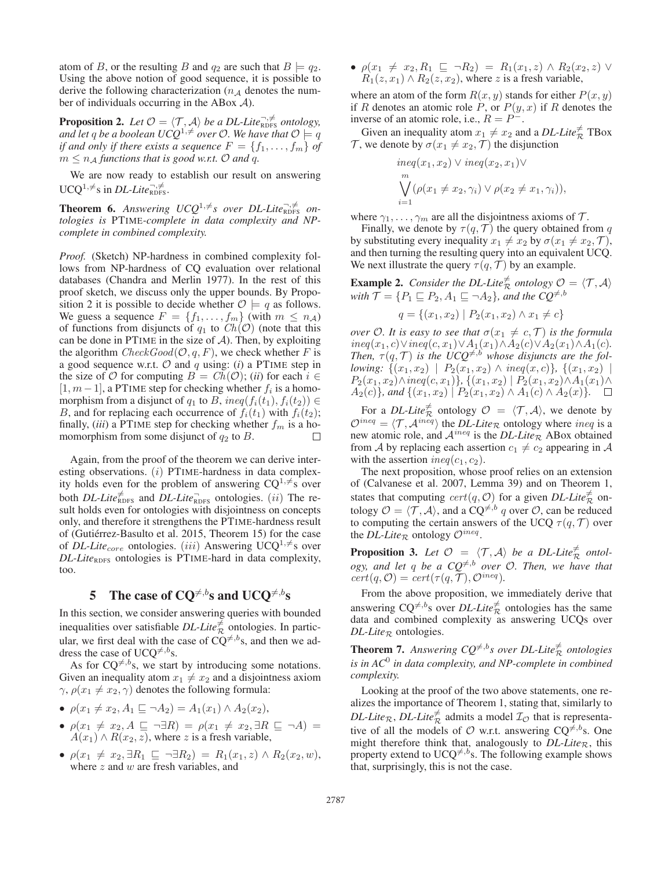atom of B, or the resulting B and  $q_2$  are such that  $B \models q_2$ . Using the above notion of good sequence, it is possible to derive the following characterization ( $n_A$  denotes the number of individuals occurring in the ABox  $A$ ).

**Proposition 2.** Let  $\mathcal{O} = \langle \mathcal{T}, \mathcal{A} \rangle$  be a DL-Lite<sub>RDFS</sub> ontology, and let  $q$  be a boolean UCQ<sup>1, $\neq$ </sup> over O. We have that  $\mathcal{O} \models q$ *if and only if there exists a sequence*  $F = \{f_1, \ldots, f_m\}$  *of*  $m \leq n_A$  *functions that is good w.r.t.*  $\mathcal{O}$  *and q.* 

We are now ready to establish our result on answering  $UCQ^{1,\neq}$ s in *DL-Lite*<sup> $\neg, \neq$ </sup>

**Theorem 6.** Answering  $UCQ^{1,\neq}s$  over DL-Lite<sub>RDFS</sub> on*tologies is* PTIME*-complete in data complexity and NPcomplete in combined complexity.*

*Proof.* (Sketch) NP-hardness in combined complexity follows from NP-hardness of CQ evaluation over relational databases (Chandra and Merlin 1977). In the rest of this proof sketch, we discuss only the upper bounds. By Proposition 2 it is possible to decide whether  $\mathcal{O} \models q$  as follows. We guess a sequence  $F = \{f_1, \ldots, f_m\}$  (with  $m \leq n_{\mathcal{A}}$ ) of functions from disjuncts of  $q_1$  to  $Ch(O)$  (note that this can be done in PTIME in the size of  $A$ ). Then, by exploiting the algorithm  $CheckGood(O, q, F)$ , we check whether F is a good sequence w.r.t.  $\mathcal O$  and  $q$  using: (*i*) a PTIME step in the size of  $O$  for computing  $B = Ch(O); (ii)$  for each  $i \in$  $[1, m-1]$ , a PTIME step for checking whether  $f_i$  is a homomorphism from a disjunct of  $q_1$  to B, ineq( $f_i(t_1)$ ,  $f_i(t_2)$ )  $\in$ B, and for replacing each occurrence of  $f_i(t_1)$  with  $f_i(t_2)$ ; finally, *(iii)* a PTIME step for checking whether  $f_m$  is a homomorphism from some disjunct of  $q_2$  to B.  $\Box$ 

Again, from the proof of the theorem we can derive interesting observations.  $(i)$  PTIME-hardness in data complexity holds even for the problem of answering  $CQ^{1, \neq}$ s over both *DL-Lite* $\neq$ <sub>RDFS</sub> and *DL-Lite*<sub>RDFS</sub> ontologies. (*ii*) The result holds even for ontologies with disjointness on concepts only, and therefore it strengthens the PTIME-hardness result of (Gutiérrez-Basulto et al. 2015, Theorem 15) for the case of *DL-Lite<sub>core</sub>* ontologies. (iii) Answering UCQ<sup>1, $\neq$ </sup>s over *DL-Lite*<sub>RDFS</sub> ontologies is PTIME-hard in data complexity, too.

# 5 The case of CQ<sup> $\neq, b$ </sup>s and UCQ<sup> $\neq, b$ </sup>s

In this section, we consider answering queries with bounded inequalities over satisfiable *DL-Lite*<sup> $\neq$ </sup> ontologies. In particular, we first deal with the case of  $CQ^{\neq, b}$ s, and then we address the case of UCQ<sup> $\neq$ ,*b*</sup>s.

As for  $CQ^{\neq, b}$ s, we start by introducing some notations. Given an inequality atom  $x_1 \neq x_2$  and a disjointness axiom  $\gamma$ ,  $\rho(x_1 \neq x_2, \gamma)$  denotes the following formula:

- $\rho(x_1 \neq x_2, A_1 \sqsubseteq \neg A_2) = A_1(x_1) \wedge A_2(x_2),$
- $\bullet$   $\rho(x_1 \neq x_2, A \sqsubseteq \neg \exists R) = \rho(x_1 \neq x_2, \exists R \sqsubseteq \neg A) =$  $A(x_1) \wedge R(x_2, z)$ , where z is a fresh variable,
- $\rho(x_1 \neq x_2, \exists R_1 \sqsubseteq \neg \exists R_2) = R_1(x_1, z) \land R_2(x_2, w),$ where  $z$  and  $w$  are fresh variables, and

•  $\rho(x_1 \neq x_2, R_1 \sqsubseteq \neg R_2) = R_1(x_1, z) \land R_2(x_2, z) \lor R_3(x_1, z)$  $R_1(z, x_1) \wedge R_2(z, x_2)$ , where z is a fresh variable,

where an atom of the form  $R(x, y)$  stands for either  $P(x, y)$ if R denotes an atomic role P, or  $P(y, x)$  if R denotes the inverse of an atomic role, i.e.,  $R = P^-$ .

Given an inequality atom  $x_1 \neq x_2$  and a *DL-Lite* $\frac{1}{\mathcal{R}}$  TBox  $\mathcal{T}$ , we denote by  $\sigma(x_1 \neq x_2, \mathcal{T})$  the disjunction

$$
ineq(x_1, x_2) \lor ineq(x_2, x_1) \lor \n\bigvee_{i=1}^{m} (\rho(x_1 \neq x_2, \gamma_i) \lor \rho(x_2 \neq x_1, \gamma_i)),
$$
\n
$$
i=1
$$

where  $\gamma_1, \ldots, \gamma_m$  are all the disjointness axioms of  $\mathcal{T}$ .

Finally, we denote by  $\tau(q, \mathcal{T})$  the query obtained from q by substituting every inequality  $x_1 \neq x_2$  by  $\sigma(x_1 \neq x_2, \mathcal{T})$ , and then turning the resulting query into an equivalent UCQ. We next illustrate the query  $\tau(q, \mathcal{T})$  by an example.

**Example 2.** *Consider the DL-Lite*<sup> $\neq$ </sup> *ontology*  $\mathcal{O} = \langle \mathcal{T}, \mathcal{A} \rangle$ with  $\mathcal{T} = \{P_1 \sqsubseteq P_2, A_1 \sqsubseteq \neg A_2\}$ , and the  $CQ^{\neq, b}$ 

$$
q = \{(x_1, x_2) \mid P_2(x_1, x_2) \land x_1 \neq c\}
$$

*over*  $\mathcal{O}$ *. It is easy to see that*  $\sigma(x_1 \neq c, \mathcal{T})$  *is the formula*  $ineq(x_1, c) \lor ineq(c, x_1) \lor A_1(x_1) \land A_2(c) \lor A_2(x_1) \land A_1(c)$ . Then,  $\tau(q, \mathcal{T})$  *is the UCQ<sup>* $\neq$ *, b whose disjuncts are the fol-*</sup> *lowing:*  $\{(x_1, x_2) | P_2(x_1, x_2) \land ineq(x, c)\}, \{(x_1, x_2) |$  $P_2(x_1, x_2) \land ineq(c, x_1)$ *}*, {(x<sub>1</sub>, x<sub>2</sub>) |  $P_2(x_1, x_2) \land A_1(x_1) \land A_2(x_2)$  $A_2(c)$ *}, and*  $\{(x_1, x_2) | P_2(x_1, x_2) \wedge A_1(c) \wedge A_2(x)\}.$ 

For a *DL-Lite*<sup> $\neq$ </sup> ontology  $\mathcal{O} = \langle \mathcal{T}, \mathcal{A} \rangle$ , we denote by  $\mathcal{O}^{ineq} = \langle \mathcal{T}, \mathcal{A}^{ineq} \rangle$  the *DL-Lite*<sub>R</sub> ontology where *ineq* is a new atomic role, and  $A^{ineq}$  is the *DL-Lite<sub>R*</sub>. ABox obtained from A by replacing each assertion  $c_1 \neq c_2$  appearing in A with the assertion  $ineq(c_1, c_2)$ .

The next proposition, whose proof relies on an extension of (Calvanese et al. 2007, Lemma 39) and on Theorem 1, states that computing  $cert(q, 0)$  for a given *DL-Lite*<sup> $\neq$ </sup> ontology  $\mathcal{O} = \langle \mathcal{T}, \mathcal{A} \rangle$ , and a  $CQ^{\neq, b}$  q over  $\mathcal{O}$ , can be reduced to computing the certain answers of the UCQ  $\tau(q, \mathcal{T})$  over the *DL-Lite<sub>R</sub>* ontology  $\mathcal{O}^{ineq}$ .

**Proposition 3.** Let  $\mathcal{O} = \langle \mathcal{T}, \mathcal{A} \rangle$  be a DL-Lite<sub>R</sub> ontol $ogy$ , and let q be a  $CQ^{\neq, b}$  *over*  $\mathcal{O}$ *. Then, we have that*  $cert(q, O) = cert(\tau(q, T), O^{ineq}).$ 

From the above proposition, we immediately derive that answering  $CQ^{\neq, b}$ s over *DL-Lite*<sup> $\neq$ </sup> ontologies has the same data and combined complexity as answering UCQs over  $DL\text{-}Like_{\mathcal{R}}$  ontologies.

**Theorem 7.** Answering  $CQ^{\neq,b}$ s over DL-Lite $\stackrel{\neq}{\mathcal{R}}$  ontologies *is in AC*<sup>0</sup> *in data complexity, and NP-complete in combined complexity.*

Looking at the proof of the two above statements, one realizes the importance of Theorem 1, stating that, similarly to *DL-Lite*<sub>R</sub>, *DL-Lite*<sup> $\neq$ </sup> admits a model  $\mathcal{I}_{\mathcal{O}}$  that is representative of all the models of  $\mathcal O$  w.r.t. answering  $CQ^{\neq, b}$ s. One might therefore think that, analogously to  $DL\text{-}Lie_R$ , this property extend to UCQ<sup> $\neq$ ,b</sup>s. The following example shows that, surprisingly, this is not the case.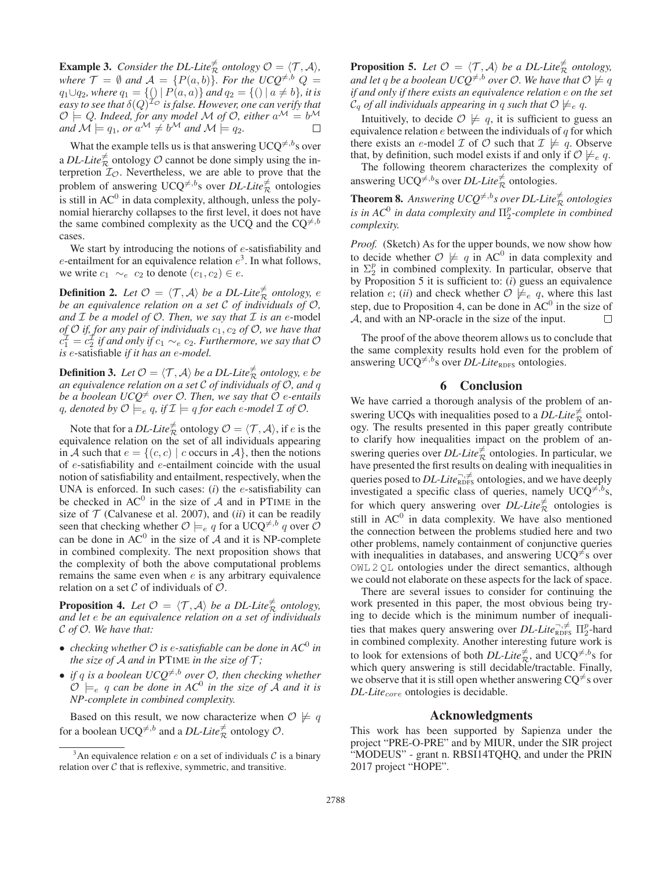**Example 3.** *Consider the DL-Lite*<sup> $\neq$ </sup> *ontology*  $\mathcal{O} = \langle \mathcal{T}, \mathcal{A} \rangle$ *, where*  $\mathcal{T} = \emptyset$  *and*  $\mathcal{A} = \{P(a, b)\}$ *. For the UCQ*<sup> $\neq$ ,b</sup>  $Q =$  $q_1 \cup q_2$ *, where*  $q_1 = \{\bigcup | P(a, a)\}$  and  $q_2 = \{\bigcap | a \neq b\}$ *, it is*  $e$ asy to see that  $\delta(Q)^{\mathcal{L} \phi}$  is false. However, one can verify that  $\mathcal{O} \models Q$ . Indeed, for any model M of O, either  $a^\mathcal{M} = b^\mathcal{M}$ and  $\mathcal{M} \models q_1$ , or  $a^{\mathcal{M}} \neq b^{\mathcal{M}}$  and  $\mathcal{M} \models q_2$ . П

What the example tells us is that answering UCQ<sup> $\neq$ ,bs over</sup> a *DL-Lite* $\frac{1}{2}$  ontology  $\mathcal O$  cannot be done simply using the interpretion  $\mathcal{I}_{\mathcal{O}}$ . Nevertheless, we are able to prove that the problem of answering  $UCQ^{\neq, b}$ s over *DL-Lite* $\frac{\neq}{\mathcal{R}}$  ontologies is still in  $AC^0$  in data complexity, although, unless the polynomial hierarchy collapses to the first level, it does not have the same combined complexity as the UCQ and the CQ<sup> $\neq$ ,b</sup> cases.

We start by introducing the notions of e-satisfiability and e-entailment for an equivalence relation  $e^3$ . In what follows, we write  $c_1 \sim_e c_2$  to denote  $(c_1, c_2) \in e$ .

**Definition 2.** Let  $\mathcal{O} = \langle \mathcal{T}, \mathcal{A} \rangle$  be a DL-Lite<sub>R</sub> ontology, e *be an equivalence relation on a set* C *of individuals of* O*,* and  $I$  *be a model of*  $O$ *. Then, we say that*  $I$  *is an e-model of*  $\mathcal{O}$  *if, for any pair of individuals*  $c_1$ ,  $c_2$  *of*  $\mathcal{O}$ *, we have that*  $c_1^2 = c_2^2$  if and only if  $c_1 \sim_e c_2$ . Furthermore, we say that  $\mathcal O$ *is* e-satisfiable *if it has an* e*-model.*

**Definition 3.** Let  $\mathcal{O} = \langle \mathcal{T}, \mathcal{A} \rangle$  be a DL-Lite  $\overset{\neq}{\mathcal{R}}$  ontology, e be *an equivalence relation on a set* C *of individuals of* O*, and* q *be a boolean UCQ*-<sup>=</sup> *over* O*. Then, we say that* O e*-entails* q, denoted by  $\mathcal{O} \models_e q$ , if  $\mathcal{I} \models q$  for each e-model  $\mathcal{I}$  of  $\mathcal{O}$ .

Note that for a *DL-Lite*<sup> $\neq$ </sup> ontology  $\mathcal{O} = \langle \mathcal{T}, \mathcal{A} \rangle$ , if  $e$  is the equivalence relation on the set of all individuals appearing in A such that  $e = \{(c, c) \mid c \text{ occurs in } A\}$ , then the notions of e-satisfiability and e-entailment coincide with the usual notion of satisfiability and entailment, respectively, when the UNA is enforced. In such cases:  $(i)$  the  $e$ -satisfiability can be checked in  $AC^0$  in the size of A and in PTIME in the size of  $T$  (Calvanese et al. 2007), and *(ii)* it can be readily seen that checking whether  $\mathcal{O} \models_e q$  for a UCQ<sup> $\neq, b \ q$ </sup> over  $\mathcal{O}$ can be done in  $AC^0$  in the size of  $A$  and it is NP-complete in combined complexity. The next proposition shows that the complexity of both the above computational problems remains the same even when  $e$  is any arbitrary equivalence relation on a set  $\mathcal C$  of individuals of  $\mathcal O$ .

**Proposition 4.** Let  $\mathcal{O} = \langle \mathcal{T}, \mathcal{A} \rangle$  be a DL-Lite<sup> $\neq$ </sup> ontology, *and let* e *be an equivalence relation on a set of individuals* C *of* O*. We have that:*

- *checking whether*  $\mathcal O$  *is e-satisfiable can be done in*  $AC^0$  *in the size of A and in* PTIME *in the size of*  $\mathcal{T}$ *;*
- *if*  $q$  is a boolean  $UCQ^{\neq, b}$  over  $O$ , then checking whether  $\mathcal{O} \models_e q$  can be done in AC<sup>0</sup> in the size of  $\tilde{A}$  and it is *NP-complete in combined complexity.*

Based on this result, we now characterize when  $\mathcal{O} \not\models q$ for a boolean UCQ<sup> $\neq, b$ </sup> and a *DL-Lite* $\frac{\neq}{\mathcal{R}}$  ontology  $\mathcal{O}$ .

**Proposition 5.** Let  $\mathcal{O} = \langle \mathcal{T}, \mathcal{A} \rangle$  be a DL-Lite<sup> $\neq$ </sup> ontology, and let  $q$  be a boolean UCQ<sup>≠,b</sup> over O. We have that  $\mathcal{O} \not\models q$ *if and only if there exists an equivalence relation* e *on the set*  $\mathcal{C}_q$  of all individuals appearing in  $q$  such that  $\mathcal{O} \not\models_{e} q$ .

Intuitively, to decide  $\mathcal{O} \not\models q$ , it is sufficient to guess an equivalence relation  $e$  between the individuals of  $q$  for which there exists an e-model  $\mathcal I$  of  $\mathcal O$  such that  $\mathcal I \not\models q$ . Observe that, by definition, such model exists if and only if  $\mathcal{O} \not\models_{e} q$ .

The following theorem characterizes the complexity of answering UCQ<sup> $\neq$ ,b</sup>s over *DL-Lite* $\frac{\neq}{\mathcal{R}}$  ontologies.

**Theorem 8.** Answering  $UCQ^{\neq, b}$ s over DL-Lite $\stackrel{\neq}{\mathcal{R}}$  ontologies *is in*  $AC^0$  *in data complexity and*  $\Pi_2^p$ -complete *in combined complexity.*

*Proof.* (Sketch) As for the upper bounds, we now show how to decide whether  $\mathcal{O} \not\models q$  in AC<sup>0</sup> in data complexity and in  $\Sigma_2^p$  in combined complexity. In particular, observe that by Proposition 5 it is sufficient to: (*i*) guess an equivalence relation *e*; *(ii)* and check whether  $\mathcal{O} \not\models_{e} q$ , where this last step, due to Proposition 4, can be done in  $AC^0$  in the size of A, and with an NP-oracle in the size of the input.  $\Box$ 

The proof of the above theorem allows us to conclude that the same complexity results hold even for the problem of answering  $UCQ^{\neq, b}$ s over *DL-Lite*<sub>RDFS</sub> ontologies.

### 6 Conclusion

We have carried a thorough analysis of the problem of answering UCQs with inequalities posed to a  $DL\text{-}Lie^{\neq}_{\mathcal{R}}$  ontol-<br>ogy. The results presented in this paper greatly contribute to clarify how inequalities impact on the problem of answering queries over  $DL\text{-}Lite\frac{\neq}{R}$  ontologies. In particular, we have presented the first results on dealing with inequalities in queries posed to *DL-Lite* $\overline{R}_{\text{DFS}}^{\rightarrow}$  ontologies, and we have deeply investigated a specific class of queries, namely UCQ<sup> $\neq$ ,b</sup>s, for which query answering over *DL-Lite* $\overline{\mathcal{R}}$  ontologies is still in  $AC<sup>0</sup>$  in data complexity. We have also mentioned the connection between the problems studied here and two other problems, namely containment of conjunctive queries with inequalities in databases, and answering UCQ<sup> $\neq$ </sup>s over OWL 2 QL ontologies under the direct semantics, although we could not elaborate on these aspects for the lack of space.

There are several issues to consider for continuing the work presented in this paper, the most obvious being trying to decide which is the minimum number of inequalities that makes query answering over  $DL\text{-}Lie_{\text{RDFS}}^{-\tau,\neq} \Pi_2^p$ -hard in combined complexity. Another interesting future work is to look for extensions of both *DL-Lite<sup>* $\neq$ *</sup>*, and UCQ<sup> $\neq$ ,<sup>*b*</sup>s for which groups are proposited to the direct blue Finally</sup> which query answering is still decidable/tractable. Finally, we observe that it is still open whether answering  $CQ^{\neq}$ s over *DL-Lite<sub>core</sub>* ontologies is decidable.

### Acknowledgments

This work has been supported by Sapienza under the project "PRE-O-PRE" and by MIUR, under the SIR project "MODEUS" - grant n. RBSI14TQHQ, and under the PRIN 2017 project "HOPE".

<sup>&</sup>lt;sup>3</sup>An equivalence relation e on a set of individuals  $\mathcal{C}$  is a binary relation over  $C$  that is reflexive, symmetric, and transitive.